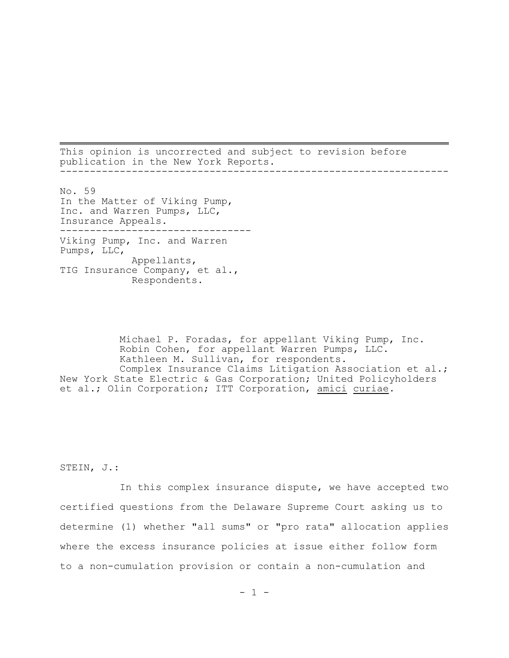This opinion is uncorrected and subject to revision before publication in the New York Reports. -----------------------------------------------------------------

No. 59 In the Matter of Viking Pump, Inc. and Warren Pumps, LLC, Insurance Appeals. -------------------------------- Viking Pump, Inc. and Warren Pumps, LLC, Appellants, TIG Insurance Company, et al., Respondents.

Michael P. Foradas, for appellant Viking Pump, Inc. Robin Cohen, for appellant Warren Pumps, LLC. Kathleen M. Sullivan, for respondents. Complex Insurance Claims Litigation Association et al.; New York State Electric & Gas Corporation; United Policyholders et al.; Olin Corporation; ITT Corporation, amici curiae.

STEIN, J.:

In this complex insurance dispute, we have accepted two certified questions from the Delaware Supreme Court asking us to determine (1) whether "all sums" or "pro rata" allocation applies where the excess insurance policies at issue either follow form to a non-cumulation provision or contain a non-cumulation and

 $- 1 -$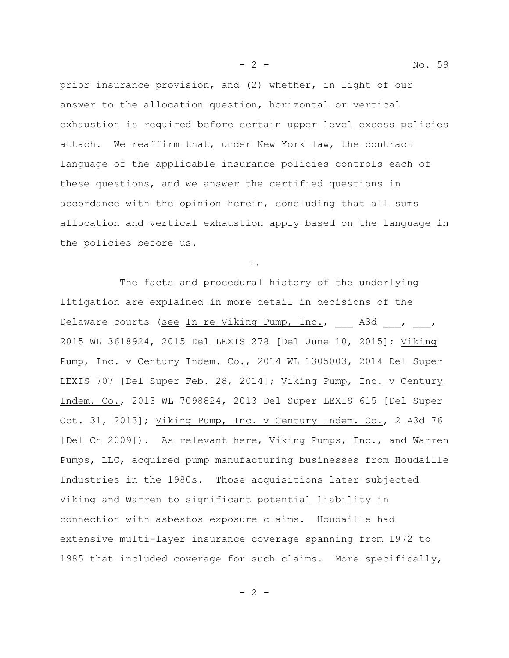prior insurance provision, and (2) whether, in light of our answer to the allocation question, horizontal or vertical exhaustion is required before certain upper level excess policies attach. We reaffirm that, under New York law, the contract language of the applicable insurance policies controls each of these questions, and we answer the certified questions in accordance with the opinion herein, concluding that all sums allocation and vertical exhaustion apply based on the language in the policies before us.

I.

The facts and procedural history of the underlying litigation are explained in more detail in decisions of the Delaware courts (see In re Viking Pump, Inc., A3d , , 2015 WL 3618924, 2015 Del LEXIS 278 [Del June 10, 2015]; Viking Pump, Inc. v Century Indem. Co., 2014 WL 1305003, 2014 Del Super LEXIS 707 [Del Super Feb. 28, 2014]; Viking Pump, Inc. v Century Indem. Co., 2013 WL 7098824, 2013 Del Super LEXIS 615 [Del Super Oct. 31, 2013]; Viking Pump, Inc. v Century Indem. Co., 2 A3d 76 [Del Ch 2009]). As relevant here, Viking Pumps, Inc., and Warren Pumps, LLC, acquired pump manufacturing businesses from Houdaille Industries in the 1980s. Those acquisitions later subjected Viking and Warren to significant potential liability in connection with asbestos exposure claims. Houdaille had extensive multi-layer insurance coverage spanning from 1972 to 1985 that included coverage for such claims. More specifically,

- 2 - No. 59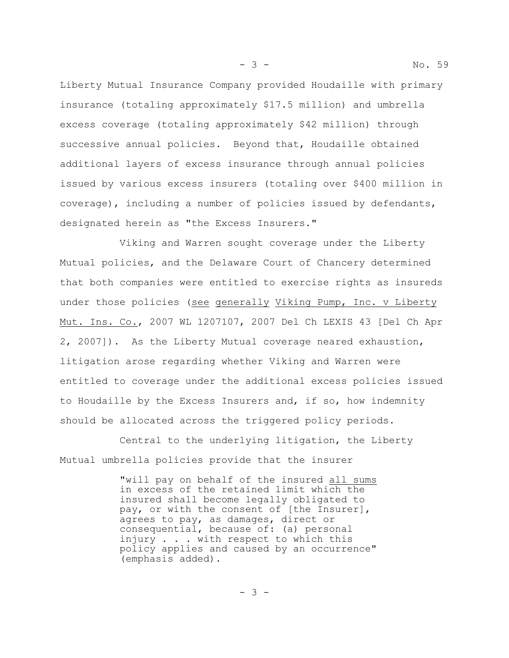Liberty Mutual Insurance Company provided Houdaille with primary insurance (totaling approximately \$17.5 million) and umbrella excess coverage (totaling approximately \$42 million) through successive annual policies. Beyond that, Houdaille obtained additional layers of excess insurance through annual policies issued by various excess insurers (totaling over \$400 million in coverage), including a number of policies issued by defendants, designated herein as "the Excess Insurers."

Viking and Warren sought coverage under the Liberty Mutual policies, and the Delaware Court of Chancery determined that both companies were entitled to exercise rights as insureds under those policies (see generally Viking Pump, Inc. v Liberty Mut. Ins. Co., 2007 WL 1207107, 2007 Del Ch LEXIS 43 [Del Ch Apr 2, 2007]). As the Liberty Mutual coverage neared exhaustion, litigation arose regarding whether Viking and Warren were entitled to coverage under the additional excess policies issued to Houdaille by the Excess Insurers and, if so, how indemnity should be allocated across the triggered policy periods.

Central to the underlying litigation, the Liberty Mutual umbrella policies provide that the insurer

> "will pay on behalf of the insured all sums in excess of the retained limit which the insured shall become legally obligated to pay, or with the consent of [the Insurer], agrees to pay, as damages, direct or consequential, because of: (a) personal injury . . . with respect to which this policy applies and caused by an occurrence" (emphasis added).

- 3 -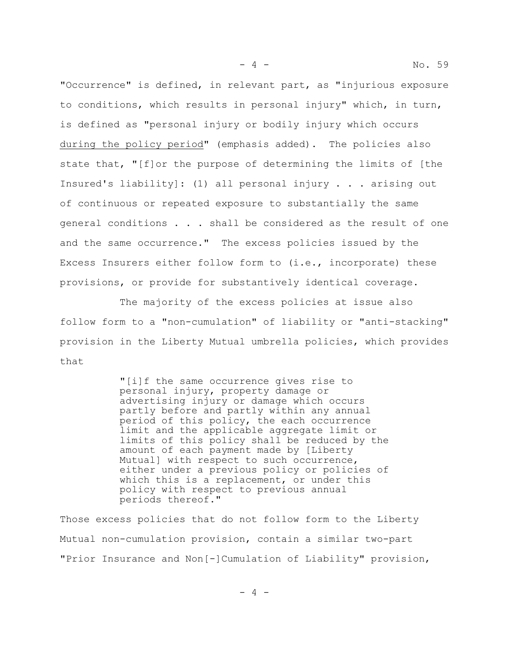"Occurrence" is defined, in relevant part, as "injurious exposure to conditions, which results in personal injury" which, in turn, is defined as "personal injury or bodily injury which occurs during the policy period" (emphasis added). The policies also state that, "[f]or the purpose of determining the limits of [the Insured's liability]: (1) all personal injury . . . arising out of continuous or repeated exposure to substantially the same general conditions . . . shall be considered as the result of one and the same occurrence." The excess policies issued by the Excess Insurers either follow form to (i.e., incorporate) these provisions, or provide for substantively identical coverage.

The majority of the excess policies at issue also follow form to a "non-cumulation" of liability or "anti-stacking" provision in the Liberty Mutual umbrella policies, which provides that

> "[i]f the same occurrence gives rise to personal injury, property damage or advertising injury or damage which occurs partly before and partly within any annual period of this policy, the each occurrence limit and the applicable aggregate limit or limits of this policy shall be reduced by the amount of each payment made by [Liberty Mutual] with respect to such occurrence, either under a previous policy or policies of which this is a replacement, or under this policy with respect to previous annual periods thereof."

Those excess policies that do not follow form to the Liberty Mutual non-cumulation provision, contain a similar two-part "Prior Insurance and Non[-]Cumulation of Liability" provision,

 $-4 -$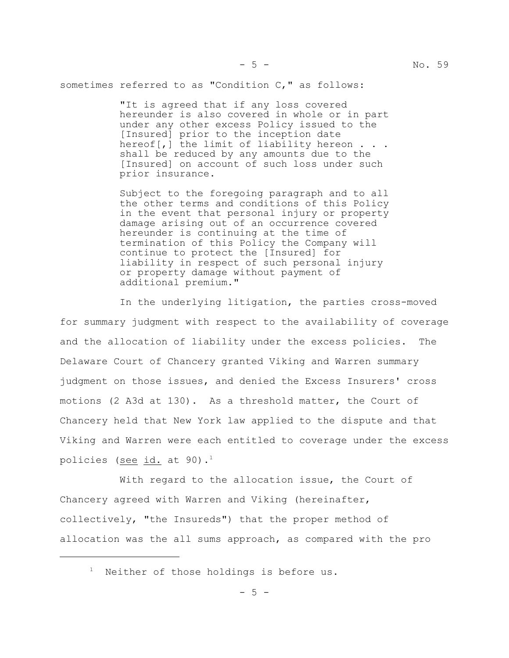sometimes referred to as "Condition C," as follows:

"It is agreed that if any loss covered hereunder is also covered in whole or in part under any other excess Policy issued to the [Insured] prior to the inception date hereof[,] the limit of liability hereon  $\ldots$ . shall be reduced by any amounts due to the [Insured] on account of such loss under such prior insurance.

Subject to the foregoing paragraph and to all the other terms and conditions of this Policy in the event that personal injury or property damage arising out of an occurrence covered hereunder is continuing at the time of termination of this Policy the Company will continue to protect the [Insured] for liability in respect of such personal injury or property damage without payment of additional premium."

In the underlying litigation, the parties cross-moved for summary judgment with respect to the availability of coverage and the allocation of liability under the excess policies. The Delaware Court of Chancery granted Viking and Warren summary judgment on those issues, and denied the Excess Insurers' cross motions (2 A3d at 130). As a threshold matter, the Court of Chancery held that New York law applied to the dispute and that Viking and Warren were each entitled to coverage under the excess policies (see id. at 90).<sup>1</sup>

With regard to the allocation issue, the Court of Chancery agreed with Warren and Viking (hereinafter, collectively, "the Insureds") that the proper method of allocation was the all sums approach, as compared with the pro

<sup>&</sup>lt;sup>1</sup> Neither of those holdings is before us.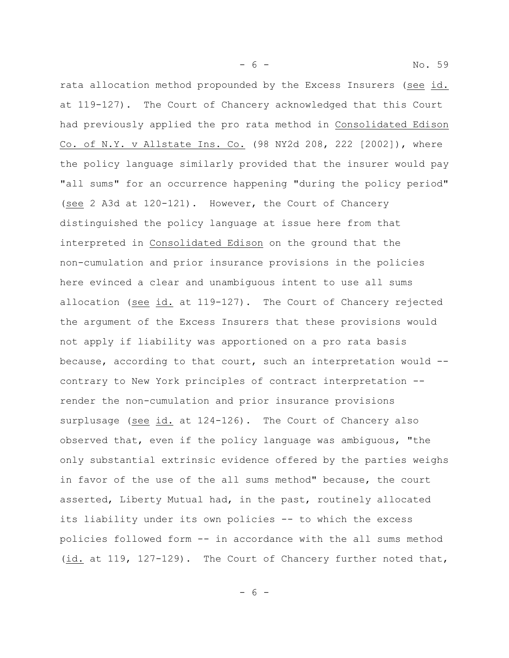- 6 - No. 59

rata allocation method propounded by the Excess Insurers (see id. at 119-127). The Court of Chancery acknowledged that this Court had previously applied the pro rata method in Consolidated Edison Co. of N.Y. v Allstate Ins. Co. (98 NY2d 208, 222 [2002]), where the policy language similarly provided that the insurer would pay "all sums" for an occurrence happening "during the policy period" (see 2 A3d at 120-121). However, the Court of Chancery distinguished the policy language at issue here from that interpreted in Consolidated Edison on the ground that the non-cumulation and prior insurance provisions in the policies here evinced a clear and unambiguous intent to use all sums allocation (see id. at 119-127). The Court of Chancery rejected the argument of the Excess Insurers that these provisions would not apply if liability was apportioned on a pro rata basis because, according to that court, such an interpretation would - contrary to New York principles of contract interpretation - render the non-cumulation and prior insurance provisions surplusage (see id. at 124-126). The Court of Chancery also observed that, even if the policy language was ambiguous, "the only substantial extrinsic evidence offered by the parties weighs in favor of the use of the all sums method" because, the court asserted, Liberty Mutual had, in the past, routinely allocated its liability under its own policies -- to which the excess policies followed form -- in accordance with the all sums method (id. at 119, 127-129). The Court of Chancery further noted that,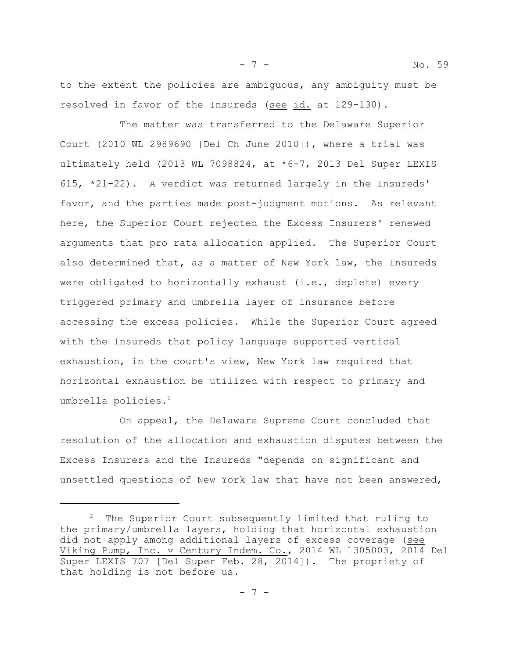to the extent the policies are ambiguous, any ambiguity must be resolved in favor of the Insureds (see id. at 129-130).

The matter was transferred to the Delaware Superior Court (2010 WL 2989690 [Del Ch June 2010]), where a trial was ultimately held (2013 WL 7098824, at \*6-7, 2013 Del Super LEXIS 615, \*21-22). A verdict was returned largely in the Insureds' favor, and the parties made post-judgment motions. As relevant here, the Superior Court rejected the Excess Insurers' renewed arguments that pro rata allocation applied. The Superior Court also determined that, as a matter of New York law, the Insureds were obligated to horizontally exhaust (i.e., deplete) every triggered primary and umbrella layer of insurance before accessing the excess policies. While the Superior Court agreed with the Insureds that policy language supported vertical exhaustion, in the court's view, New York law required that horizontal exhaustion be utilized with respect to primary and umbrella policies.<sup>2</sup>

On appeal, the Delaware Supreme Court concluded that resolution of the allocation and exhaustion disputes between the Excess Insurers and the Insureds "depends on significant and unsettled questions of New York law that have not been answered,

 $2$  The Superior Court subsequently limited that ruling to the primary/umbrella layers, holding that horizontal exhaustion did not apply among additional layers of excess coverage (see Viking Pump, Inc. v Century Indem. Co., 2014 WL 1305003, 2014 Del Super LEXIS 707 [Del Super Feb. 28, 2014]). The propriety of that holding is not before us.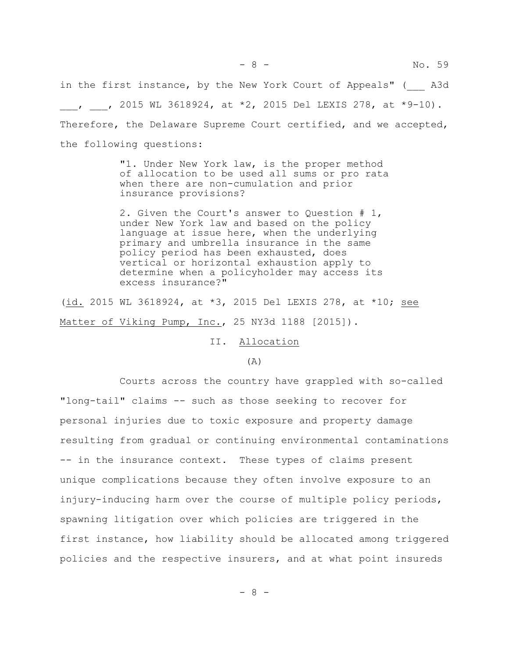in the first instance, by the New York Court of Appeals" ( \_\_ A3d  $\mu$ , , 2015 WL 3618924, at \*2, 2015 Del LEXIS 278, at \*9-10). Therefore, the Delaware Supreme Court certified, and we accepted, the following questions:

> "1. Under New York law, is the proper method of allocation to be used all sums or pro rata when there are non-cumulation and prior insurance provisions?

2. Given the Court's answer to Question # 1, under New York law and based on the policy language at issue here, when the underlying primary and umbrella insurance in the same policy period has been exhausted, does vertical or horizontal exhaustion apply to determine when a policyholder may access its excess insurance?"

(id. 2015 WL 3618924, at \*3, 2015 Del LEXIS 278, at \*10; see Matter of Viking Pump, Inc., 25 NY3d 1188 [2015]).

II. Allocation

## (A)

Courts across the country have grappled with so-called "long-tail" claims -- such as those seeking to recover for personal injuries due to toxic exposure and property damage resulting from gradual or continuing environmental contaminations -- in the insurance context. These types of claims present unique complications because they often involve exposure to an injury-inducing harm over the course of multiple policy periods, spawning litigation over which policies are triggered in the first instance, how liability should be allocated among triggered policies and the respective insurers, and at what point insureds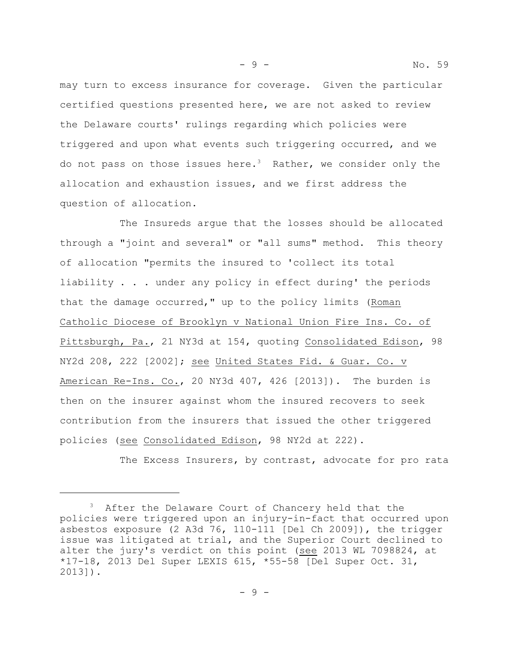may turn to excess insurance for coverage. Given the particular certified questions presented here, we are not asked to review the Delaware courts' rulings regarding which policies were triggered and upon what events such triggering occurred, and we do not pass on those issues here.<sup>3</sup> Rather, we consider only the allocation and exhaustion issues, and we first address the question of allocation.

The Insureds argue that the losses should be allocated through a "joint and several" or "all sums" method. This theory of allocation "permits the insured to 'collect its total liability . . . under any policy in effect during' the periods that the damage occurred," up to the policy limits (Roman Catholic Diocese of Brooklyn v National Union Fire Ins. Co. of Pittsburgh, Pa., 21 NY3d at 154, quoting Consolidated Edison, 98 NY2d 208, 222 [2002]; see United States Fid. & Guar. Co. v American Re-Ins. Co., 20 NY3d 407, 426 [2013]). The burden is then on the insurer against whom the insured recovers to seek contribution from the insurers that issued the other triggered policies (see Consolidated Edison, 98 NY2d at 222).

The Excess Insurers, by contrast, advocate for pro rata

- 9 - No. 59

<sup>&</sup>lt;sup>3</sup> After the Delaware Court of Chancery held that the policies were triggered upon an injury-in-fact that occurred upon asbestos exposure (2 A3d 76, 110-111 [Del Ch 2009]), the trigger issue was litigated at trial, and the Superior Court declined to alter the jury's verdict on this point (see 2013 WL 7098824, at \*17-18, 2013 Del Super LEXIS 615, \*55-58 [Del Super Oct. 31, 2013]).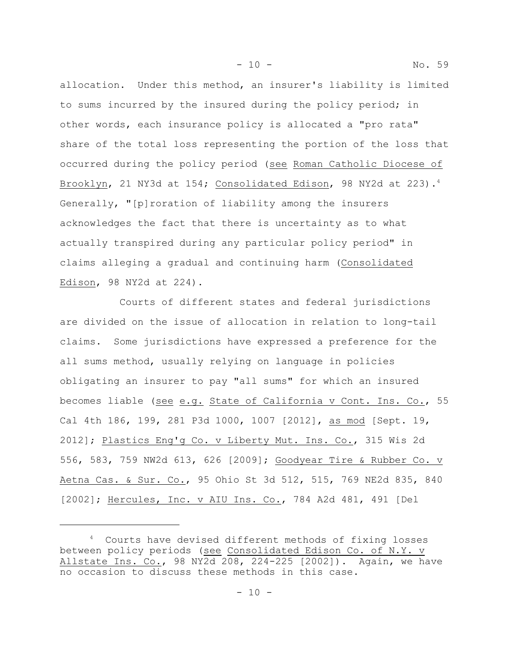allocation. Under this method, an insurer's liability is limited to sums incurred by the insured during the policy period; in other words, each insurance policy is allocated a "pro rata" share of the total loss representing the portion of the loss that occurred during the policy period (see Roman Catholic Diocese of Brooklyn, 21 NY3d at 154; Consolidated Edison, 98 NY2d at 223).<sup>4</sup> Generally, "[p]roration of liability among the insurers acknowledges the fact that there is uncertainty as to what actually transpired during any particular policy period" in claims alleging a gradual and continuing harm (Consolidated Edison, 98 NY2d at 224).

- 10 - No. 59

Courts of different states and federal jurisdictions are divided on the issue of allocation in relation to long-tail claims. Some jurisdictions have expressed a preference for the all sums method, usually relying on language in policies obligating an insurer to pay "all sums" for which an insured becomes liable (see e.g. State of California v Cont. Ins. Co., 55 Cal 4th 186, 199, 281 P3d 1000, 1007 [2012], as mod [Sept. 19, 2012]; Plastics Eng'g Co. v Liberty Mut. Ins. Co., 315 Wis 2d 556, 583, 759 NW2d 613, 626 [2009]; Goodyear Tire & Rubber Co. v Aetna Cas. & Sur. Co., 95 Ohio St 3d 512, 515, 769 NE2d 835, 840 [2002]; Hercules, Inc. v AIU Ins. Co., 784 A2d 481, 491 [Del

<sup>4</sup> Courts have devised different methods of fixing losses between policy periods (see Consolidated Edison Co. of N.Y. v Allstate Ins. Co., 98 NY2d 208, 224-225 [2002]). Again, we have no occasion to discuss these methods in this case.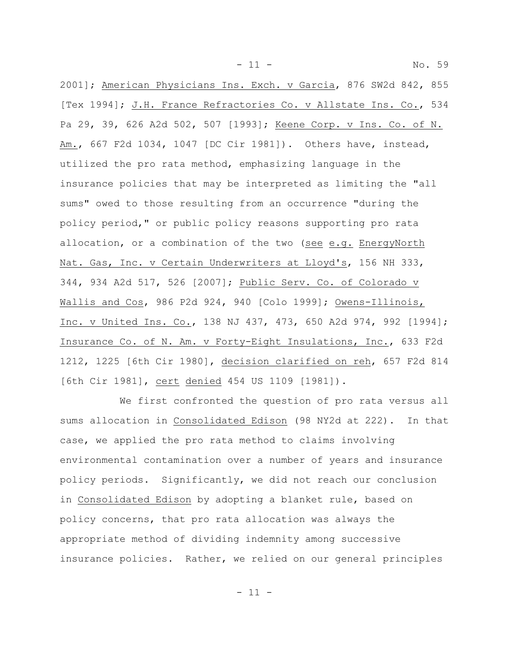2001]; American Physicians Ins. Exch. v Garcia, 876 SW2d 842, 855 [Tex 1994]; J.H. France Refractories Co. v Allstate Ins. Co., 534 Pa 29, 39, 626 A2d 502, 507 [1993]; Keene Corp. v Ins. Co. of N. Am., 667 F2d 1034, 1047 [DC Cir 1981]). Others have, instead, utilized the pro rata method, emphasizing language in the insurance policies that may be interpreted as limiting the "all sums" owed to those resulting from an occurrence "during the policy period," or public policy reasons supporting pro rata allocation, or a combination of the two (see e.g. EnergyNorth Nat. Gas, Inc. v Certain Underwriters at Lloyd's, 156 NH 333, 344, 934 A2d 517, 526 [2007]; Public Serv. Co. of Colorado v Wallis and Cos, 986 P2d 924, 940 [Colo 1999]; Owens-Illinois, Inc. v United Ins. Co., 138 NJ 437, 473, 650 A2d 974, 992 [1994]; Insurance Co. of N. Am. v Forty-Eight Insulations, Inc., 633 F2d 1212, 1225 [6th Cir 1980], decision clarified on reh, 657 F2d 814 [6th Cir 1981], cert denied 454 US 1109 [1981]).

- 11 - No. 59

We first confronted the question of pro rata versus all sums allocation in Consolidated Edison (98 NY2d at 222). In that case, we applied the pro rata method to claims involving environmental contamination over a number of years and insurance policy periods. Significantly, we did not reach our conclusion in Consolidated Edison by adopting a blanket rule, based on policy concerns, that pro rata allocation was always the appropriate method of dividing indemnity among successive insurance policies. Rather, we relied on our general principles

 $-11 -$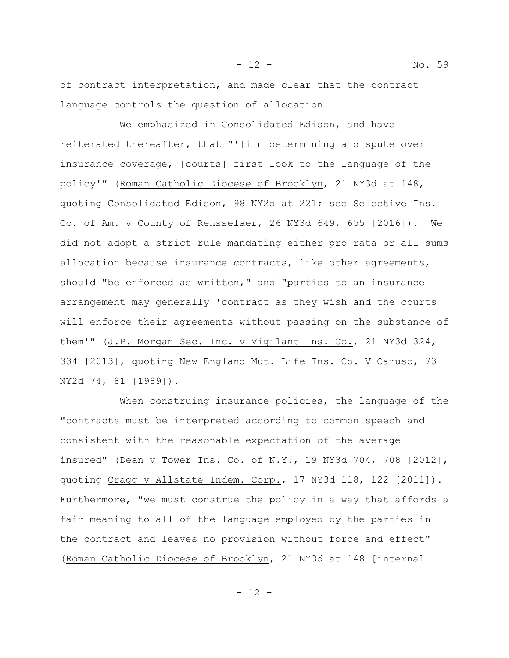of contract interpretation, and made clear that the contract language controls the question of allocation.

We emphasized in Consolidated Edison, and have reiterated thereafter, that "'[i]n determining a dispute over insurance coverage, [courts] first look to the language of the policy'" (Roman Catholic Diocese of Brooklyn, 21 NY3d at 148, quoting Consolidated Edison, 98 NY2d at 221; see Selective Ins. Co. of Am. v County of Rensselaer, 26 NY3d 649, 655 [2016]). We did not adopt a strict rule mandating either pro rata or all sums allocation because insurance contracts, like other agreements, should "be enforced as written," and "parties to an insurance arrangement may generally 'contract as they wish and the courts will enforce their agreements without passing on the substance of them'" (J.P. Morgan Sec. Inc. v Vigilant Ins. Co., 21 NY3d 324, 334 [2013], quoting New England Mut. Life Ins. Co. V Caruso, 73 NY2d 74, 81 [1989]).

When construing insurance policies, the language of the "contracts must be interpreted according to common speech and consistent with the reasonable expectation of the average insured" (Dean v Tower Ins. Co. of N.Y., 19 NY3d 704, 708 [2012], quoting Cragg v Allstate Indem. Corp., 17 NY3d 118, 122 [2011]). Furthermore, "we must construe the policy in a way that affords a fair meaning to all of the language employed by the parties in the contract and leaves no provision without force and effect" (Roman Catholic Diocese of Brooklyn, 21 NY3d at 148 [internal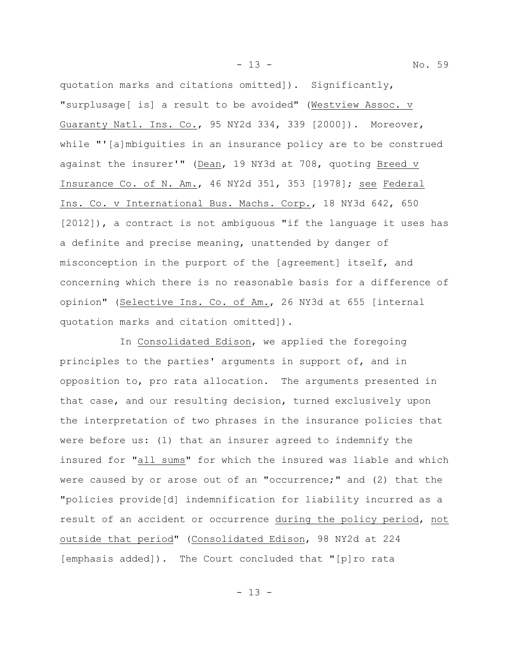quotation marks and citations omitted]). Significantly, "surplusage[ is] a result to be avoided" (Westview Assoc. v Guaranty Natl. Ins. Co., 95 NY2d 334, 339 [2000]). Moreover, while "'[a]mbiguities in an insurance policy are to be construed against the insurer'" (Dean, 19 NY3d at 708, quoting Breed v Insurance Co. of N. Am., 46 NY2d 351, 353 [1978]; see Federal Ins. Co. v International Bus. Machs. Corp., 18 NY3d 642, 650 [2012]), a contract is not ambiguous "if the language it uses has a definite and precise meaning, unattended by danger of misconception in the purport of the [agreement] itself, and concerning which there is no reasonable basis for a difference of opinion" (Selective Ins. Co. of Am., 26 NY3d at 655 [internal quotation marks and citation omitted]).

In Consolidated Edison, we applied the foregoing principles to the parties' arguments in support of, and in opposition to, pro rata allocation. The arguments presented in that case, and our resulting decision, turned exclusively upon the interpretation of two phrases in the insurance policies that were before us: (1) that an insurer agreed to indemnify the insured for "all sums" for which the insured was liable and which were caused by or arose out of an "occurrence;" and (2) that the "policies provide[d] indemnification for liability incurred as a result of an accident or occurrence during the policy period, not outside that period" (Consolidated Edison, 98 NY2d at 224 [emphasis added]). The Court concluded that "[p]ro rata

- 13 - No. 59

 $- 13 -$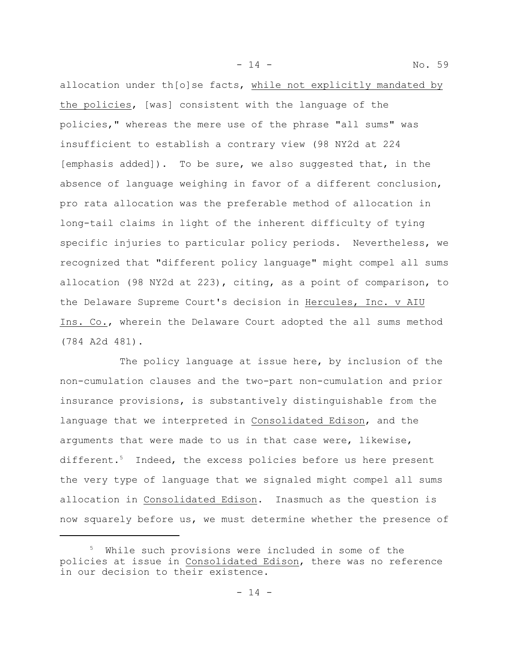- 14 - No. 59

allocation under th[o]se facts, while not explicitly mandated by the policies, [was] consistent with the language of the policies," whereas the mere use of the phrase "all sums" was insufficient to establish a contrary view (98 NY2d at 224 [emphasis added]). To be sure, we also suggested that, in the absence of language weighing in favor of a different conclusion, pro rata allocation was the preferable method of allocation in long-tail claims in light of the inherent difficulty of tying specific injuries to particular policy periods. Nevertheless, we recognized that "different policy language" might compel all sums allocation (98 NY2d at 223), citing, as a point of comparison, to the Delaware Supreme Court's decision in Hercules, Inc. v AIU Ins. Co., wherein the Delaware Court adopted the all sums method (784 A2d 481).

The policy language at issue here, by inclusion of the non-cumulation clauses and the two-part non-cumulation and prior insurance provisions, is substantively distinguishable from the language that we interpreted in Consolidated Edison, and the arguments that were made to us in that case were, likewise, different.<sup>5</sup> Indeed, the excess policies before us here present the very type of language that we signaled might compel all sums allocation in Consolidated Edison. Inasmuch as the question is now squarely before us, we must determine whether the presence of

<sup>&</sup>lt;sup>5</sup> While such provisions were included in some of the policies at issue in Consolidated Edison, there was no reference in our decision to their existence.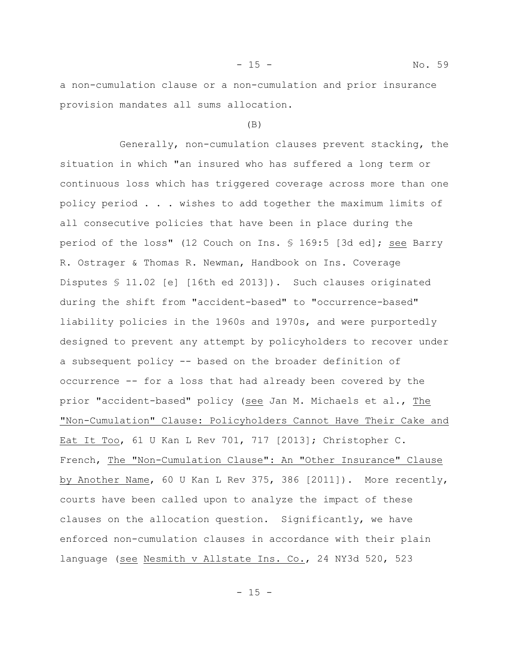a non-cumulation clause or a non-cumulation and prior insurance provision mandates all sums allocation.

## (B)

Generally, non-cumulation clauses prevent stacking, the situation in which "an insured who has suffered a long term or continuous loss which has triggered coverage across more than one policy period . . . wishes to add together the maximum limits of all consecutive policies that have been in place during the period of the loss" (12 Couch on Ins. § 169:5 [3d ed]; see Barry R. Ostrager & Thomas R. Newman, Handbook on Ins. Coverage Disputes § 11.02 [e] [16th ed 2013]). Such clauses originated during the shift from "accident-based" to "occurrence-based" liability policies in the 1960s and 1970s, and were purportedly designed to prevent any attempt by policyholders to recover under a subsequent policy -- based on the broader definition of occurrence -- for a loss that had already been covered by the prior "accident-based" policy (see Jan M. Michaels et al., The "Non-Cumulation" Clause: Policyholders Cannot Have Their Cake and Eat It Too, 61 U Kan L Rev 701, 717 [2013]; Christopher C. French, The "Non-Cumulation Clause": An "Other Insurance" Clause by Another Name, 60 U Kan L Rev 375, 386 [2011]). More recently, courts have been called upon to analyze the impact of these clauses on the allocation question. Significantly, we have enforced non-cumulation clauses in accordance with their plain language (see Nesmith v Allstate Ins. Co., 24 NY3d 520, 523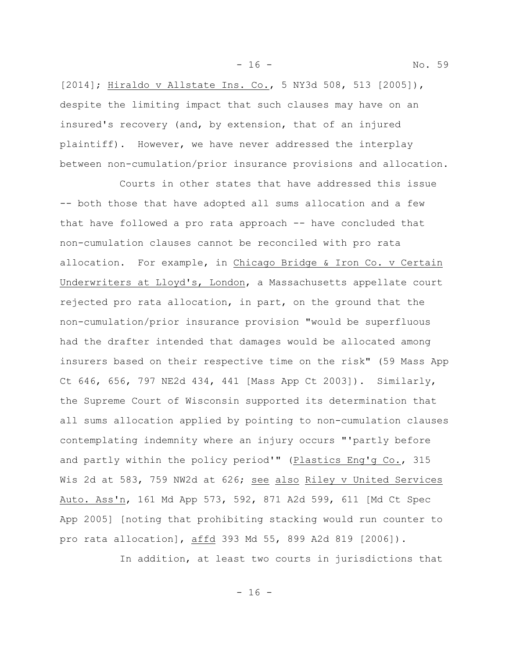- 16 - No. 59

[2014]; Hiraldo v Allstate Ins. Co., 5 NY3d 508, 513 [2005]), despite the limiting impact that such clauses may have on an insured's recovery (and, by extension, that of an injured plaintiff). However, we have never addressed the interplay between non-cumulation/prior insurance provisions and allocation.

Courts in other states that have addressed this issue -- both those that have adopted all sums allocation and a few that have followed a pro rata approach -- have concluded that non-cumulation clauses cannot be reconciled with pro rata allocation. For example, in Chicago Bridge & Iron Co. v Certain Underwriters at Lloyd's, London, a Massachusetts appellate court rejected pro rata allocation, in part, on the ground that the non-cumulation/prior insurance provision "would be superfluous had the drafter intended that damages would be allocated among insurers based on their respective time on the risk" (59 Mass App Ct 646, 656, 797 NE2d 434, 441 [Mass App Ct 2003]). Similarly, the Supreme Court of Wisconsin supported its determination that all sums allocation applied by pointing to non-cumulation clauses contemplating indemnity where an injury occurs "'partly before and partly within the policy period'" (Plastics Eng'g Co., 315 Wis 2d at 583, 759 NW2d at 626; see also Riley v United Services Auto. Ass'n, 161 Md App 573, 592, 871 A2d 599, 611 [Md Ct Spec App 2005] [noting that prohibiting stacking would run counter to pro rata allocation], affd 393 Md 55, 899 A2d 819 [2006]).

In addition, at least two courts in jurisdictions that

- 16 -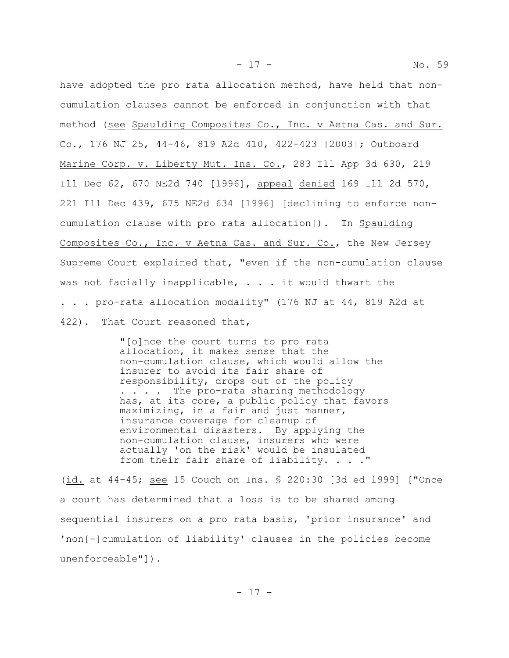have adopted the pro rata allocation method, have held that noncumulation clauses cannot be enforced in conjunction with that method (see Spaulding Composites Co., Inc. v Aetna Cas. and Sur. Co., 176 NJ 25, 44-46, 819 A2d 410, 422-423 [2003]; Outboard Marine Corp. v. Liberty Mut. Ins. Co., 283 Ill App 3d 630, 219 Ill Dec 62, 670 NE2d 740 [1996], appeal denied 169 Ill 2d 570, 221 Ill Dec 439, 675 NE2d 634 [1996] [declining to enforce noncumulation clause with pro rata allocation]). In Spaulding Composites Co., Inc. v Aetna Cas. and Sur. Co., the New Jersey Supreme Court explained that, "even if the non-cumulation clause was not facially inapplicable,  $\cdot$  . . it would thwart the . . . pro-rata allocation modality" (176 NJ at 44, 819 A2d at 422). That Court reasoned that,

> "[o]nce the court turns to pro rata allocation, it makes sense that the non-cumulation clause, which would allow the insurer to avoid its fair share of responsibility, drops out of the policy . . . . The pro-rata sharing methodology has, at its core, a public policy that favors maximizing, in a fair and just manner, insurance coverage for cleanup of environmental disasters. By applying the non-cumulation clause, insurers who were actually 'on the risk' would be insulated from their fair share of liability. . . . "

(id. at 44-45; see 15 Couch on Ins. § 220:30 [3d ed 1999] ["Once a court has determined that a loss is to be shared among sequential insurers on a pro rata basis, 'prior insurance' and 'non[-]cumulation of liability' clauses in the policies become unenforceable"]).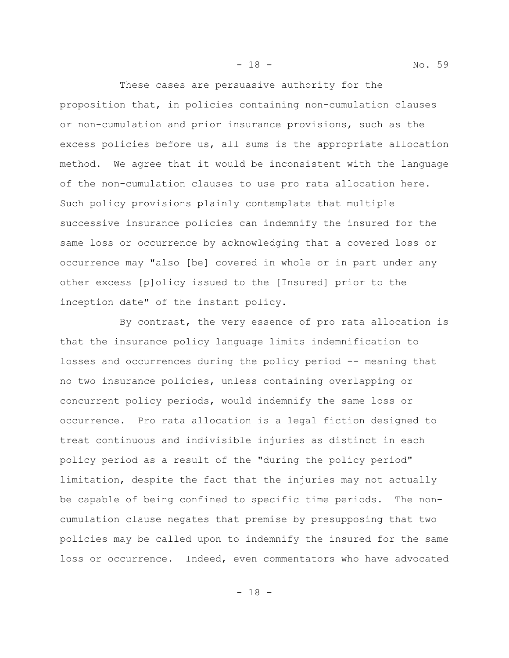These cases are persuasive authority for the proposition that, in policies containing non-cumulation clauses or non-cumulation and prior insurance provisions, such as the excess policies before us, all sums is the appropriate allocation method. We agree that it would be inconsistent with the language of the non-cumulation clauses to use pro rata allocation here. Such policy provisions plainly contemplate that multiple successive insurance policies can indemnify the insured for the same loss or occurrence by acknowledging that a covered loss or occurrence may "also [be] covered in whole or in part under any other excess [p]olicy issued to the [Insured] prior to the inception date" of the instant policy.

By contrast, the very essence of pro rata allocation is that the insurance policy language limits indemnification to losses and occurrences during the policy period -- meaning that no two insurance policies, unless containing overlapping or concurrent policy periods, would indemnify the same loss or occurrence. Pro rata allocation is a legal fiction designed to treat continuous and indivisible injuries as distinct in each policy period as a result of the "during the policy period" limitation, despite the fact that the injuries may not actually be capable of being confined to specific time periods. The noncumulation clause negates that premise by presupposing that two policies may be called upon to indemnify the insured for the same loss or occurrence. Indeed, even commentators who have advocated

- 18 - No. 59

- 18 -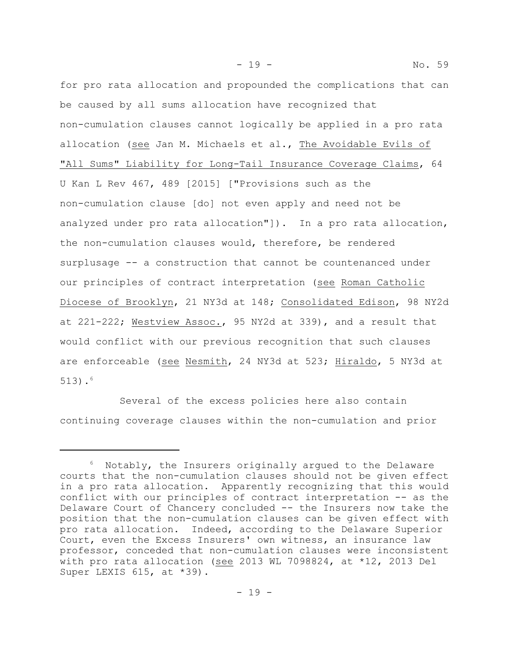for pro rata allocation and propounded the complications that can be caused by all sums allocation have recognized that non-cumulation clauses cannot logically be applied in a pro rata allocation (see Jan M. Michaels et al., The Avoidable Evils of "All Sums" Liability for Long-Tail Insurance Coverage Claims, 64 U Kan L Rev 467, 489 [2015] ["Provisions such as the non-cumulation clause [do] not even apply and need not be analyzed under pro rata allocation"]). In a pro rata allocation, the non-cumulation clauses would, therefore, be rendered surplusage -- a construction that cannot be countenanced under our principles of contract interpretation (see Roman Catholic Diocese of Brooklyn, 21 NY3d at 148; Consolidated Edison, 98 NY2d at 221-222; Westview Assoc., 95 NY2d at 339), and a result that would conflict with our previous recognition that such clauses are enforceable (see Nesmith, 24 NY3d at 523; Hiraldo, 5 NY3d at 513). $^{6}$ 

Several of the excess policies here also contain continuing coverage clauses within the non-cumulation and prior

 $6$  Notably, the Insurers originally argued to the Delaware courts that the non-cumulation clauses should not be given effect in a pro rata allocation. Apparently recognizing that this would conflict with our principles of contract interpretation -- as the Delaware Court of Chancery concluded -- the Insurers now take the position that the non-cumulation clauses can be given effect with pro rata allocation. Indeed, according to the Delaware Superior Court, even the Excess Insurers' own witness, an insurance law professor, conceded that non-cumulation clauses were inconsistent with pro rata allocation (see 2013 WL 7098824, at \*12, 2013 Del Super LEXIS 615, at \*39).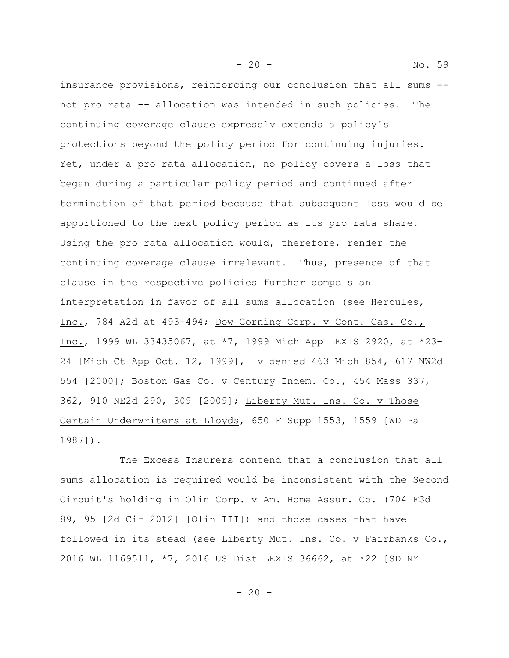- 20 - No. 59

insurance provisions, reinforcing our conclusion that all sums - not pro rata -- allocation was intended in such policies. The continuing coverage clause expressly extends a policy's protections beyond the policy period for continuing injuries. Yet, under a pro rata allocation, no policy covers a loss that began during a particular policy period and continued after termination of that period because that subsequent loss would be apportioned to the next policy period as its pro rata share. Using the pro rata allocation would, therefore, render the continuing coverage clause irrelevant. Thus, presence of that clause in the respective policies further compels an interpretation in favor of all sums allocation (see Hercules, Inc., 784 A2d at 493-494; Dow Corning Corp. v Cont. Cas. Co., Inc., 1999 WL 33435067, at \*7, 1999 Mich App LEXIS 2920, at \*23- 24 [Mich Ct App Oct. 12, 1999], lv denied 463 Mich 854, 617 NW2d 554 [2000]; Boston Gas Co. v Century Indem. Co., 454 Mass 337, 362, 910 NE2d 290, 309 [2009]; Liberty Mut. Ins. Co. v Those Certain Underwriters at Lloyds, 650 F Supp 1553, 1559 [WD Pa 1987]).

The Excess Insurers contend that a conclusion that all sums allocation is required would be inconsistent with the Second Circuit's holding in Olin Corp. v Am. Home Assur. Co. (704 F3d 89, 95 [2d Cir 2012] [Olin III]) and those cases that have followed in its stead (see Liberty Mut. Ins. Co. v Fairbanks Co., 2016 WL 1169511, \*7, 2016 US Dist LEXIS 36662, at \*22 [SD NY

 $-20 -$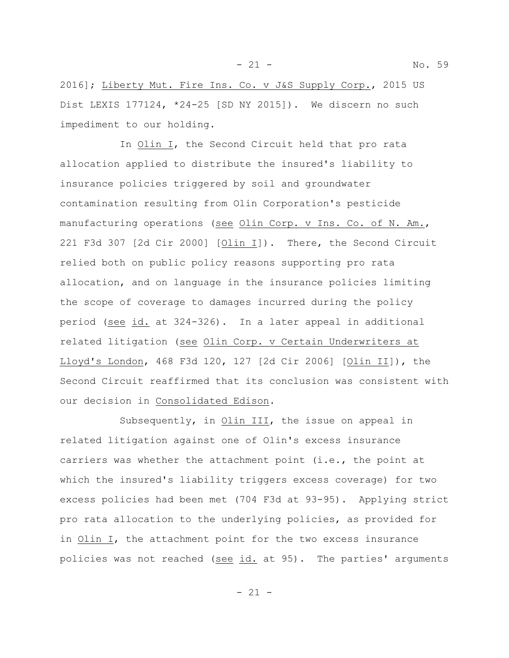- 21 - No. 59

2016]; Liberty Mut. Fire Ins. Co. v J&S Supply Corp., 2015 US Dist LEXIS 177124, \*24-25 [SD NY 2015]). We discern no such impediment to our holding.

In Olin I, the Second Circuit held that pro rata allocation applied to distribute the insured's liability to insurance policies triggered by soil and groundwater contamination resulting from Olin Corporation's pesticide manufacturing operations (see Olin Corp. v Ins. Co. of N. Am., 221 F3d 307 [2d Cir 2000] [Olin I]). There, the Second Circuit relied both on public policy reasons supporting pro rata allocation, and on language in the insurance policies limiting the scope of coverage to damages incurred during the policy period (see id. at 324-326). In a later appeal in additional related litigation (see Olin Corp. v Certain Underwriters at Lloyd's London, 468 F3d 120, 127 [2d Cir 2006] [Olin II]), the Second Circuit reaffirmed that its conclusion was consistent with our decision in Consolidated Edison.

Subsequently, in Olin III, the issue on appeal in related litigation against one of Olin's excess insurance carriers was whether the attachment point (i.e., the point at which the insured's liability triggers excess coverage) for two excess policies had been met (704 F3d at 93-95). Applying strict pro rata allocation to the underlying policies, as provided for in Olin I, the attachment point for the two excess insurance policies was not reached (see id. at 95). The parties' arguments

- 21 -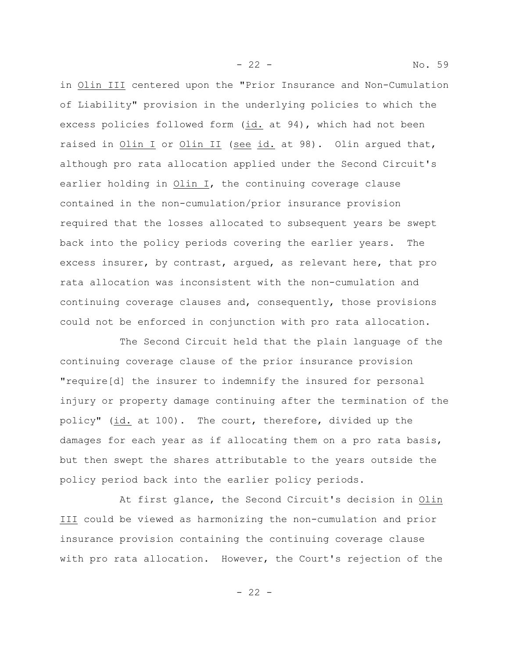in Olin III centered upon the "Prior Insurance and Non-Cumulation of Liability" provision in the underlying policies to which the excess policies followed form (id. at 94), which had not been raised in Olin I or Olin II (see id. at 98). Olin argued that, although pro rata allocation applied under the Second Circuit's earlier holding in Olin I, the continuing coverage clause contained in the non-cumulation/prior insurance provision required that the losses allocated to subsequent years be swept back into the policy periods covering the earlier years. The excess insurer, by contrast, argued, as relevant here, that pro rata allocation was inconsistent with the non-cumulation and continuing coverage clauses and, consequently, those provisions could not be enforced in conjunction with pro rata allocation.

The Second Circuit held that the plain language of the continuing coverage clause of the prior insurance provision "require[d] the insurer to indemnify the insured for personal injury or property damage continuing after the termination of the policy" (id. at 100). The court, therefore, divided up the damages for each year as if allocating them on a pro rata basis, but then swept the shares attributable to the years outside the policy period back into the earlier policy periods.

At first glance, the Second Circuit's decision in Olin III could be viewed as harmonizing the non-cumulation and prior insurance provision containing the continuing coverage clause with pro rata allocation. However, the Court's rejection of the

- 22 - No. 59

- 22 -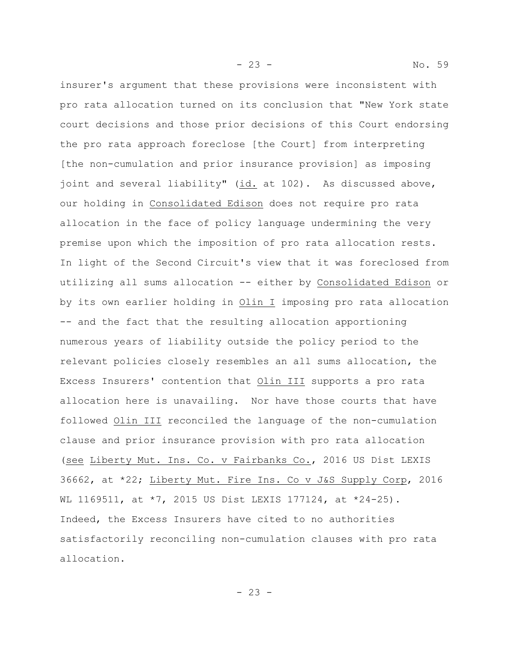- 23 - No. 59 insurer's argument that these provisions were inconsistent with

pro rata allocation turned on its conclusion that "New York state court decisions and those prior decisions of this Court endorsing the pro rata approach foreclose [the Court] from interpreting [the non-cumulation and prior insurance provision] as imposing joint and several liability" (id. at 102). As discussed above, our holding in Consolidated Edison does not require pro rata allocation in the face of policy language undermining the very premise upon which the imposition of pro rata allocation rests. In light of the Second Circuit's view that it was foreclosed from utilizing all sums allocation -- either by Consolidated Edison or by its own earlier holding in Olin I imposing pro rata allocation -- and the fact that the resulting allocation apportioning numerous years of liability outside the policy period to the relevant policies closely resembles an all sums allocation, the Excess Insurers' contention that Olin III supports a pro rata allocation here is unavailing. Nor have those courts that have followed Olin III reconciled the language of the non-cumulation clause and prior insurance provision with pro rata allocation (see Liberty Mut. Ins. Co. v Fairbanks Co., 2016 US Dist LEXIS 36662, at \*22; Liberty Mut. Fire Ins. Co v J&S Supply Corp, 2016 WL 1169511, at \*7, 2015 US Dist LEXIS 177124, at \*24-25). Indeed, the Excess Insurers have cited to no authorities satisfactorily reconciling non-cumulation clauses with pro rata allocation.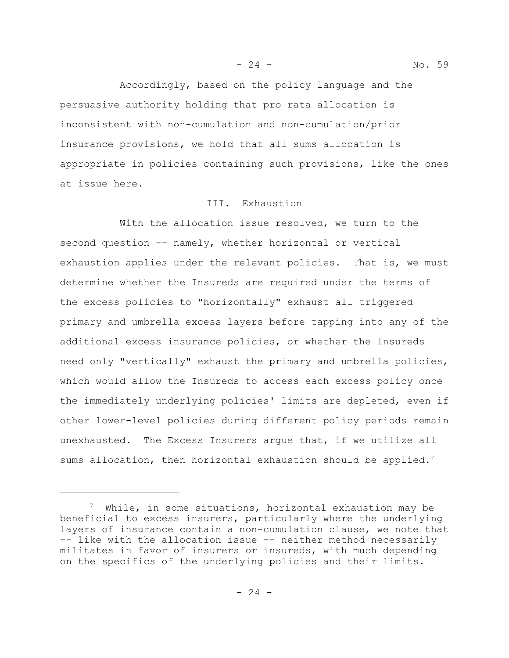Accordingly, based on the policy language and the persuasive authority holding that pro rata allocation is inconsistent with non-cumulation and non-cumulation/prior insurance provisions, we hold that all sums allocation is appropriate in policies containing such provisions, like the ones at issue here.

## III. Exhaustion

With the allocation issue resolved, we turn to the second question -- namely, whether horizontal or vertical exhaustion applies under the relevant policies. That is, we must determine whether the Insureds are required under the terms of the excess policies to "horizontally" exhaust all triggered primary and umbrella excess layers before tapping into any of the additional excess insurance policies, or whether the Insureds need only "vertically" exhaust the primary and umbrella policies, which would allow the Insureds to access each excess policy once the immediately underlying policies' limits are depleted, even if other lower-level policies during different policy periods remain unexhausted. The Excess Insurers argue that, if we utilize all sums allocation, then horizontal exhaustion should be applied.<sup>7</sup>

 $\frac{7}{7}$  While, in some situations, horizontal exhaustion may be beneficial to excess insurers, particularly where the underlying layers of insurance contain a non-cumulation clause, we note that -- like with the allocation issue -- neither method necessarily militates in favor of insurers or insureds, with much depending on the specifics of the underlying policies and their limits.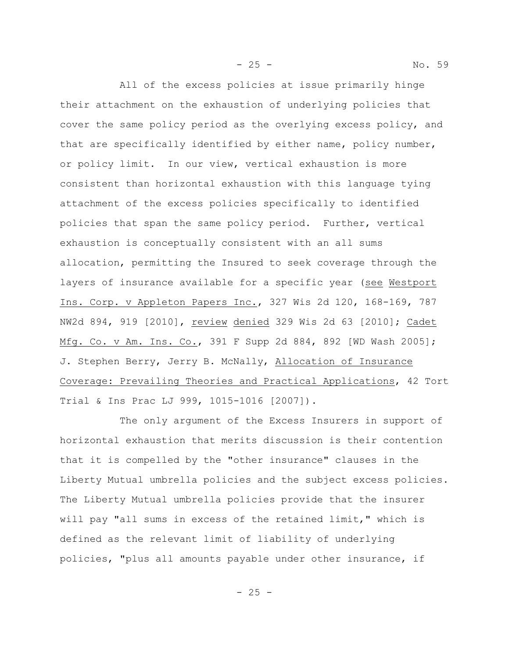All of the excess policies at issue primarily hinge their attachment on the exhaustion of underlying policies that cover the same policy period as the overlying excess policy, and that are specifically identified by either name, policy number, or policy limit. In our view, vertical exhaustion is more consistent than horizontal exhaustion with this language tying attachment of the excess policies specifically to identified policies that span the same policy period. Further, vertical exhaustion is conceptually consistent with an all sums allocation, permitting the Insured to seek coverage through the layers of insurance available for a specific year (see Westport Ins. Corp. v Appleton Papers Inc., 327 Wis 2d 120, 168-169, 787 NW2d 894, 919 [2010], review denied 329 Wis 2d 63 [2010]; Cadet Mfg. Co. v Am. Ins. Co., 391 F Supp 2d 884, 892 [WD Wash 2005]; J. Stephen Berry, Jerry B. McNally, Allocation of Insurance Coverage: Prevailing Theories and Practical Applications, 42 Tort Trial & Ins Prac LJ 999, 1015-1016 [2007]).

The only argument of the Excess Insurers in support of horizontal exhaustion that merits discussion is their contention that it is compelled by the "other insurance" clauses in the Liberty Mutual umbrella policies and the subject excess policies. The Liberty Mutual umbrella policies provide that the insurer will pay "all sums in excess of the retained limit," which is defined as the relevant limit of liability of underlying policies, "plus all amounts payable under other insurance, if

- 25 - No. 59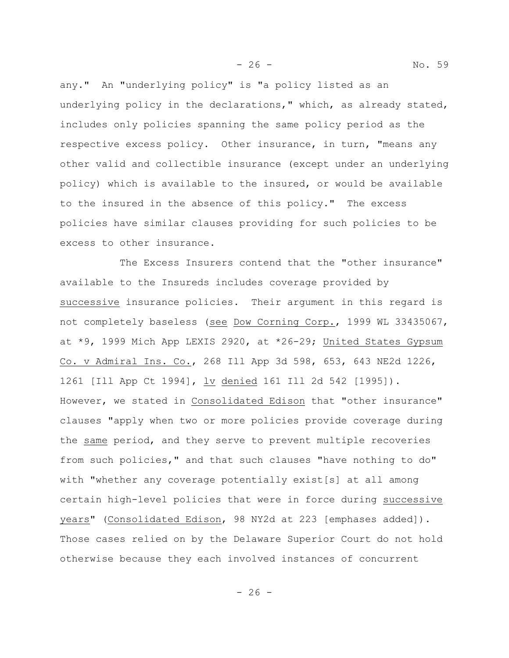any." An "underlying policy" is "a policy listed as an underlying policy in the declarations," which, as already stated, includes only policies spanning the same policy period as the respective excess policy. Other insurance, in turn, "means any other valid and collectible insurance (except under an underlying policy) which is available to the insured, or would be available to the insured in the absence of this policy." The excess policies have similar clauses providing for such policies to be excess to other insurance.

The Excess Insurers contend that the "other insurance" available to the Insureds includes coverage provided by successive insurance policies. Their argument in this regard is not completely baseless (see Dow Corning Corp., 1999 WL 33435067, at \*9, 1999 Mich App LEXIS 2920, at \*26-29; United States Gypsum Co. v Admiral Ins. Co., 268 Ill App 3d 598, 653, 643 NE2d 1226, 1261 [Ill App Ct 1994], lv denied 161 Ill 2d 542 [1995]). However, we stated in Consolidated Edison that "other insurance" clauses "apply when two or more policies provide coverage during the same period, and they serve to prevent multiple recoveries from such policies," and that such clauses "have nothing to do" with "whether any coverage potentially exist[s] at all among certain high-level policies that were in force during successive years" (Consolidated Edison, 98 NY2d at 223 [emphases added]). Those cases relied on by the Delaware Superior Court do not hold otherwise because they each involved instances of concurrent

- 26 - No. 59

 $- 26 -$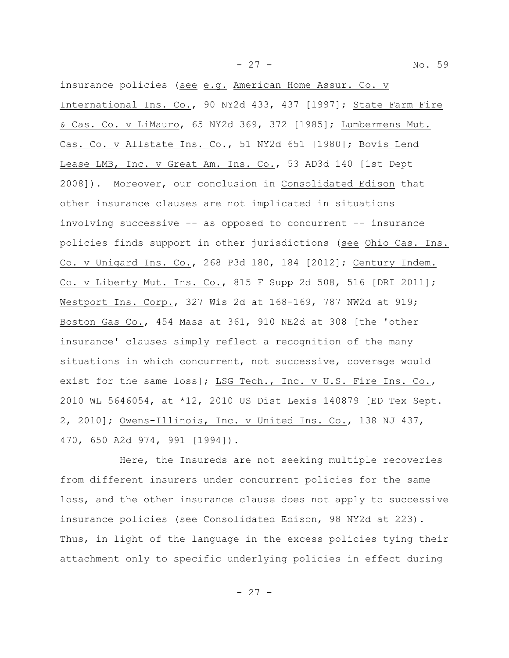- 27 - No. 59

insurance policies (see e.g. American Home Assur. Co. v International Ins. Co., 90 NY2d 433, 437 [1997]; State Farm Fire & Cas. Co. v LiMauro, 65 NY2d 369, 372 [1985]; Lumbermens Mut. Cas. Co. v Allstate Ins. Co., 51 NY2d 651 [1980]; Bovis Lend Lease LMB, Inc. v Great Am. Ins. Co., 53 AD3d 140 [1st Dept 2008]). Moreover, our conclusion in Consolidated Edison that other insurance clauses are not implicated in situations involving successive -- as opposed to concurrent -- insurance policies finds support in other jurisdictions (see Ohio Cas. Ins. Co. v Unigard Ins. Co., 268 P3d 180, 184 [2012]; Century Indem. Co. v Liberty Mut. Ins. Co., 815 F Supp 2d 508, 516 [DRI 2011]; Westport Ins. Corp., 327 Wis 2d at 168-169, 787 NW2d at 919; Boston Gas Co., 454 Mass at 361, 910 NE2d at 308 [the 'other insurance' clauses simply reflect a recognition of the many situations in which concurrent, not successive, coverage would exist for the same loss]; LSG Tech., Inc. v U.S. Fire Ins. Co., 2010 WL 5646054, at \*12, 2010 US Dist Lexis 140879 [ED Tex Sept. 2, 2010]; Owens-Illinois, Inc. v United Ins. Co., 138 NJ 437, 470, 650 A2d 974, 991 [1994]).

Here, the Insureds are not seeking multiple recoveries from different insurers under concurrent policies for the same loss, and the other insurance clause does not apply to successive insurance policies (see Consolidated Edison, 98 NY2d at 223). Thus, in light of the language in the excess policies tying their attachment only to specific underlying policies in effect during

 $- 27 -$